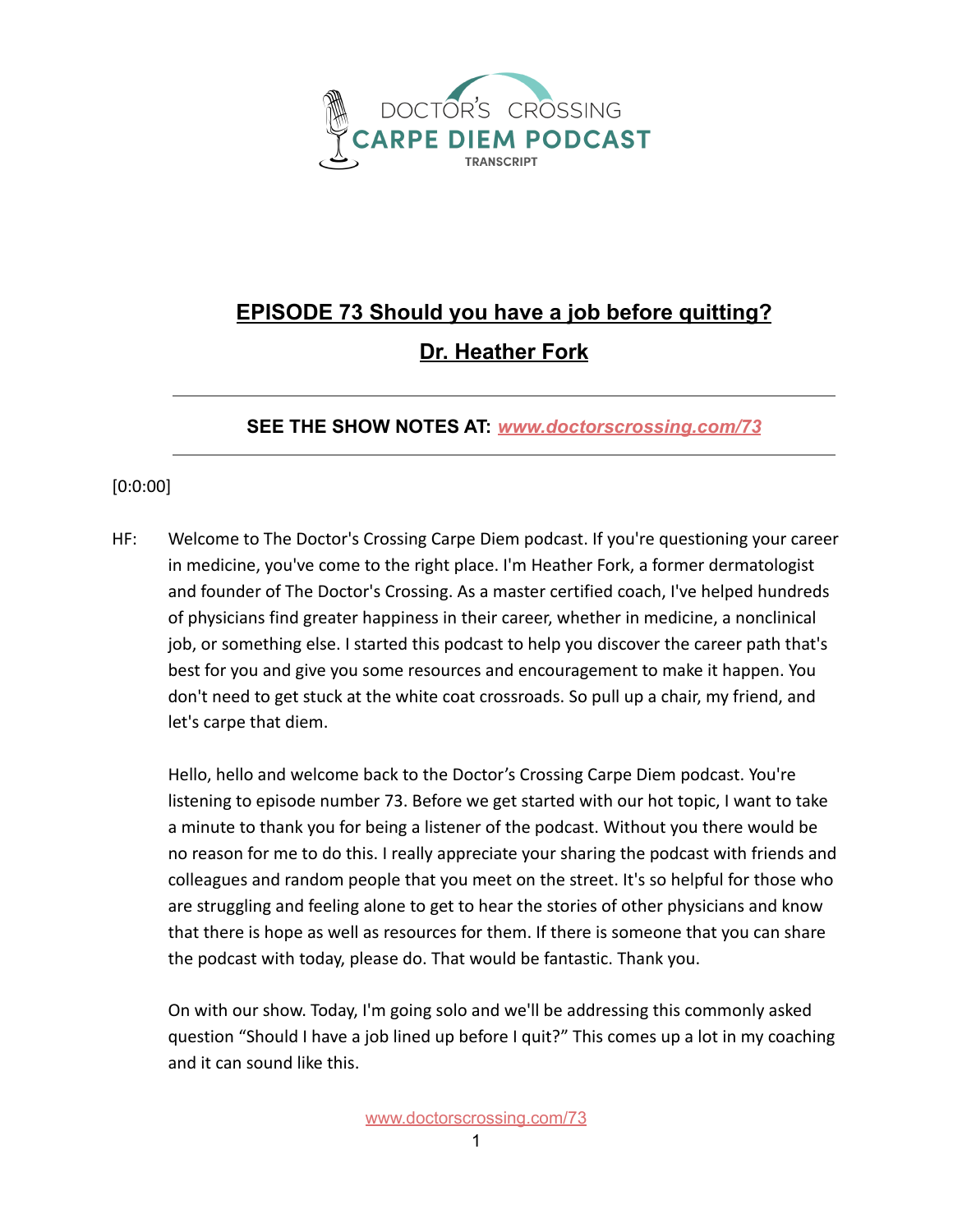

## **EPISODE 73 Should you have a job before quitting? Dr. Heather Fork**

## **SEE THE SHOW NOTES AT:** *[www.doctorscrossing.com/73](http://www.doctorscrossing.com/73)*

## [0:0:00]

HF: Welcome to The Doctor's Crossing Carpe Diem podcast. If you're questioning your career in medicine, you've come to the right place. I'm Heather Fork, a former dermatologist and founder of The Doctor's Crossing. As a master certified coach, I've helped hundreds of physicians find greater happiness in their career, whether in medicine, a nonclinical job, or something else. I started this podcast to help you discover the career path that's best for you and give you some resources and encouragement to make it happen. You don't need to get stuck at the white coat crossroads. So pull up a chair, my friend, and let's carpe that diem.

Hello, hello and welcome back to the Doctor's Crossing Carpe Diem podcast. You're listening to episode number 73. Before we get started with our hot topic, I want to take a minute to thank you for being a listener of the podcast. Without you there would be no reason for me to do this. I really appreciate your sharing the podcast with friends and colleagues and random people that you meet on the street. It's so helpful for those who are struggling and feeling alone to get to hear the stories of other physicians and know that there is hope as well as resources for them. If there is someone that you can share the podcast with today, please do. That would be fantastic. Thank you.

On with our show. Today, I'm going solo and we'll be addressing this commonly asked question "Should I have a job lined up before I quit?" This comes up a lot in my coaching and it can sound like this.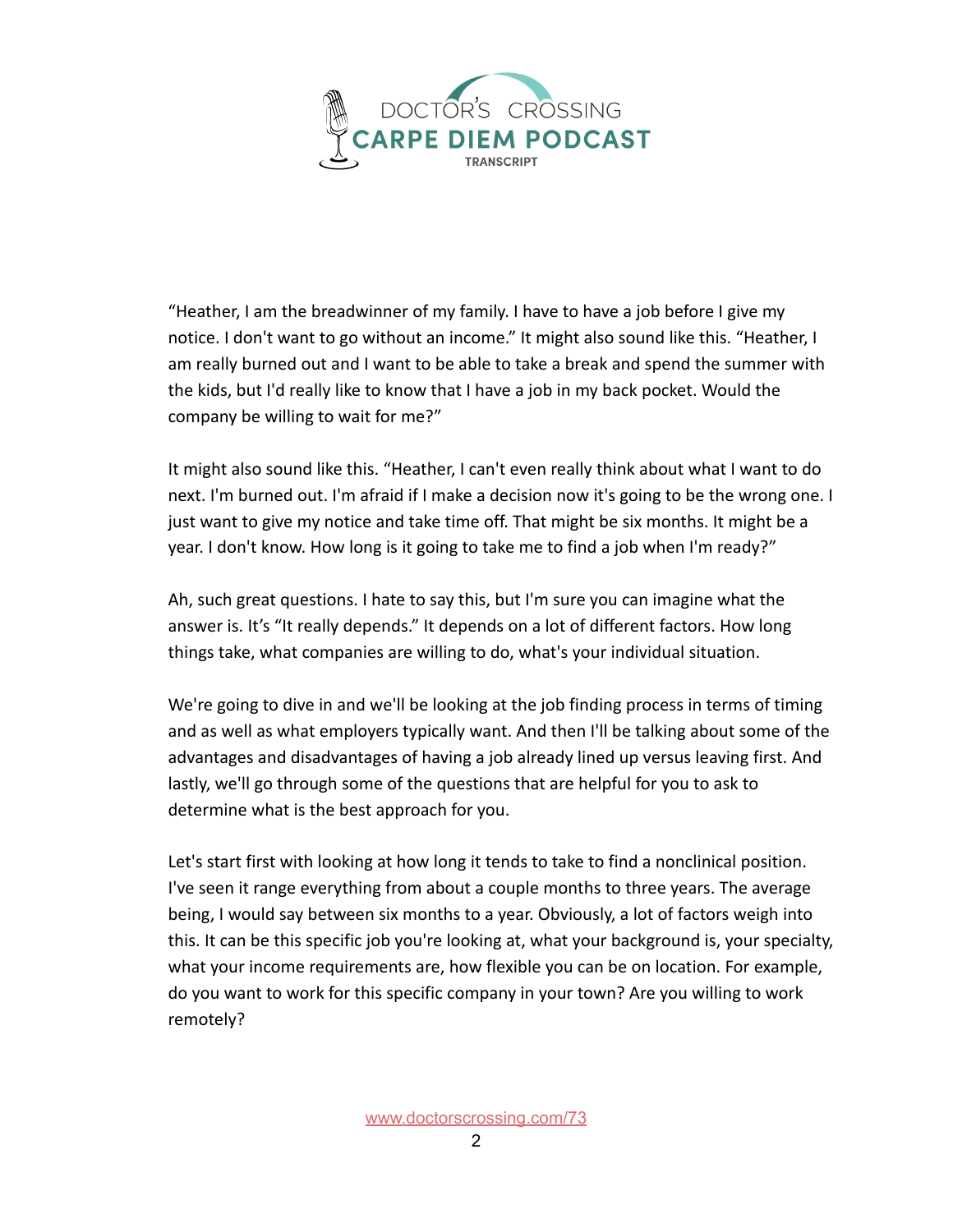

"Heather, I am the breadwinner of my family. I have to have a job before I give my notice. I don't want to go without an income." It might also sound like this. "Heather, I am really burned out and I want to be able to take a break and spend the summer with the kids, but I'd really like to know that I have a job in my back pocket. Would the company be willing to wait for me?"

It might also sound like this. "Heather, I can't even really think about what I want to do next. I'm burned out. I'm afraid if I make a decision now it's going to be the wrong one. I just want to give my notice and take time off. That might be six months. It might be a year. I don't know. How long is it going to take me to find a job when I'm ready?"

Ah, such great questions. I hate to say this, but I'm sure you can imagine what the answer is. It's "It really depends." It depends on a lot of different factors. How long things take, what companies are willing to do, what's your individual situation.

We're going to dive in and we'll be looking at the job finding process in terms of timing and as well as what employers typically want. And then I'll be talking about some of the advantages and disadvantages of having a job already lined up versus leaving first. And lastly, we'll go through some of the questions that are helpful for you to ask to determine what is the best approach for you.

Let's start first with looking at how long it tends to take to find a nonclinical position. I've seen it range everything from about a couple months to three years. The average being, I would say between six months to a year. Obviously, a lot of factors weigh into this. It can be this specific job you're looking at, what your background is, your specialty, what your income requirements are, how flexible you can be on location. For example, do you want to work for this specific company in your town? Are you willing to work remotely?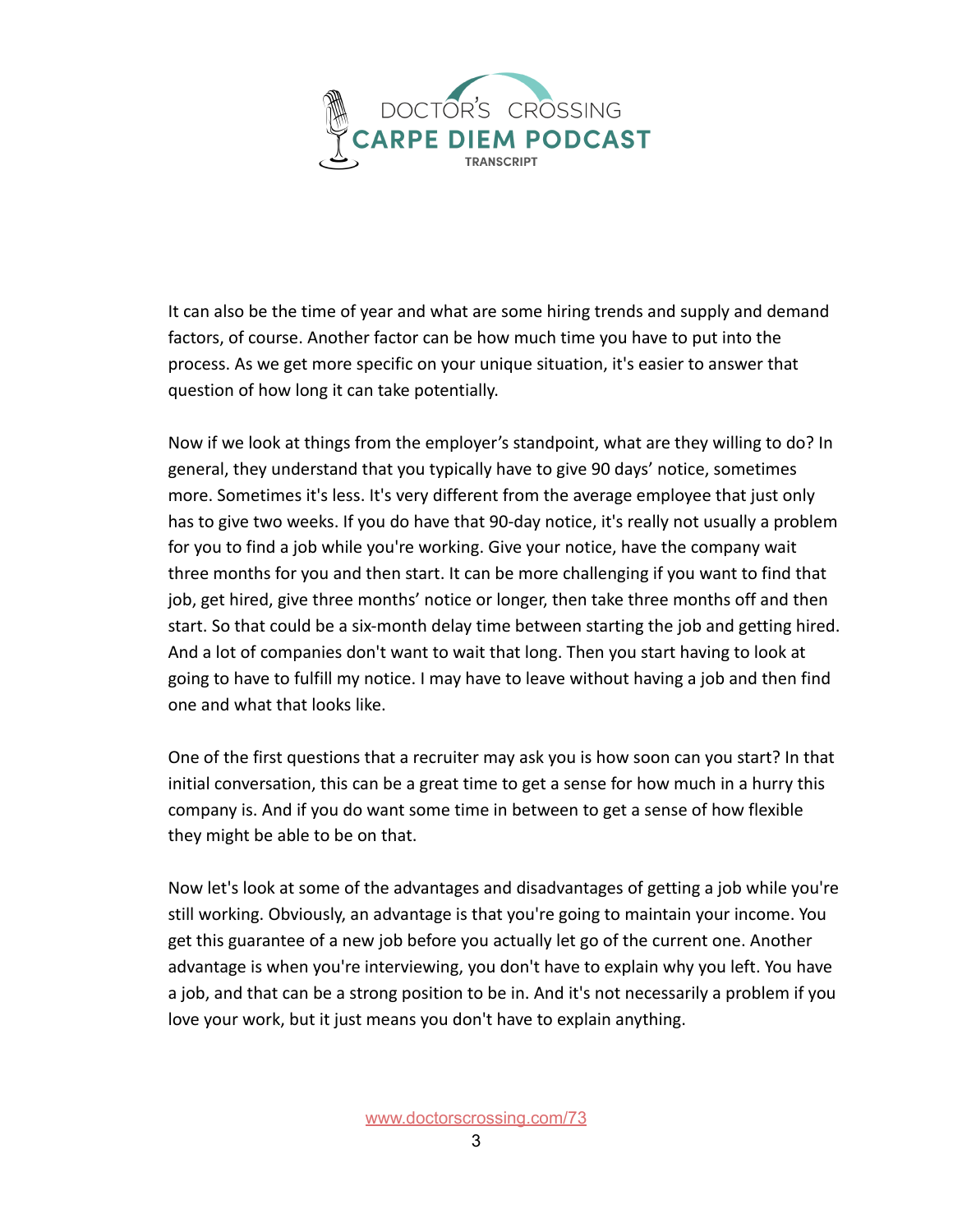

It can also be the time of year and what are some hiring trends and supply and demand factors, of course. Another factor can be how much time you have to put into the process. As we get more specific on your unique situation, it's easier to answer that question of how long it can take potentially.

Now if we look at things from the employer's standpoint, what are they willing to do? In general, they understand that you typically have to give 90 days' notice, sometimes more. Sometimes it's less. It's very different from the average employee that just only has to give two weeks. If you do have that 90-day notice, it's really not usually a problem for you to find a job while you're working. Give your notice, have the company wait three months for you and then start. It can be more challenging if you want to find that job, get hired, give three months' notice or longer, then take three months off and then start. So that could be a six-month delay time between starting the job and getting hired. And a lot of companies don't want to wait that long. Then you start having to look at going to have to fulfill my notice. I may have to leave without having a job and then find one and what that looks like.

One of the first questions that a recruiter may ask you is how soon can you start? In that initial conversation, this can be a great time to get a sense for how much in a hurry this company is. And if you do want some time in between to get a sense of how flexible they might be able to be on that.

Now let's look at some of the advantages and disadvantages of getting a job while you're still working. Obviously, an advantage is that you're going to maintain your income. You get this guarantee of a new job before you actually let go of the current one. Another advantage is when you're interviewing, you don't have to explain why you left. You have a job, and that can be a strong position to be in. And it's not necessarily a problem if you love your work, but it just means you don't have to explain anything.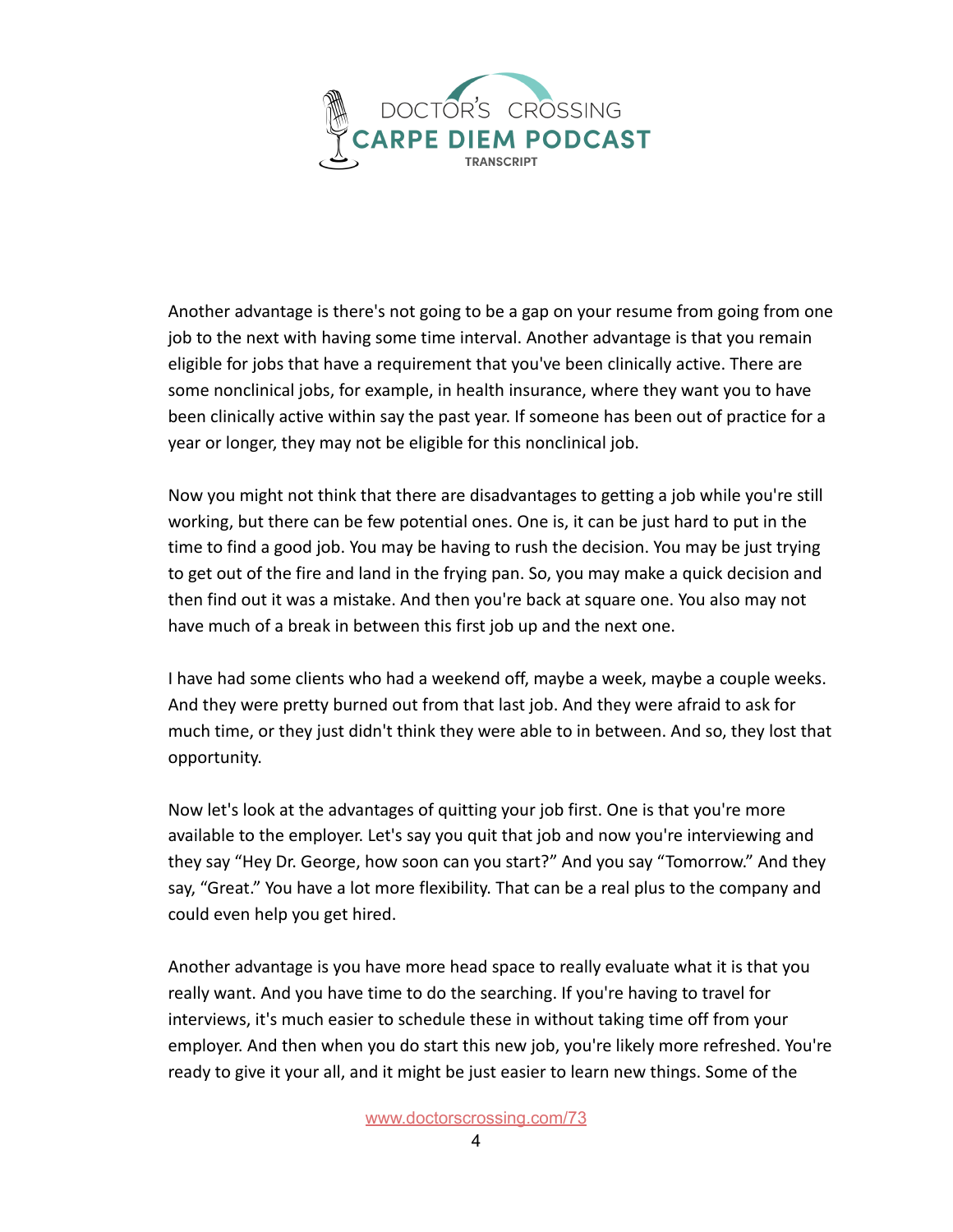

Another advantage is there's not going to be a gap on your resume from going from one job to the next with having some time interval. Another advantage is that you remain eligible for jobs that have a requirement that you've been clinically active. There are some nonclinical jobs, for example, in health insurance, where they want you to have been clinically active within say the past year. If someone has been out of practice for a year or longer, they may not be eligible for this nonclinical job.

Now you might not think that there are disadvantages to getting a job while you're still working, but there can be few potential ones. One is, it can be just hard to put in the time to find a good job. You may be having to rush the decision. You may be just trying to get out of the fire and land in the frying pan. So, you may make a quick decision and then find out it was a mistake. And then you're back at square one. You also may not have much of a break in between this first job up and the next one.

I have had some clients who had a weekend off, maybe a week, maybe a couple weeks. And they were pretty burned out from that last job. And they were afraid to ask for much time, or they just didn't think they were able to in between. And so, they lost that opportunity.

Now let's look at the advantages of quitting your job first. One is that you're more available to the employer. Let's say you quit that job and now you're interviewing and they say "Hey Dr. George, how soon can you start?" And you say "Tomorrow." And they say, "Great." You have a lot more flexibility. That can be a real plus to the company and could even help you get hired.

Another advantage is you have more head space to really evaluate what it is that you really want. And you have time to do the searching. If you're having to travel for interviews, it's much easier to schedule these in without taking time off from your employer. And then when you do start this new job, you're likely more refreshed. You're ready to give it your all, and it might be just easier to learn new things. Some of the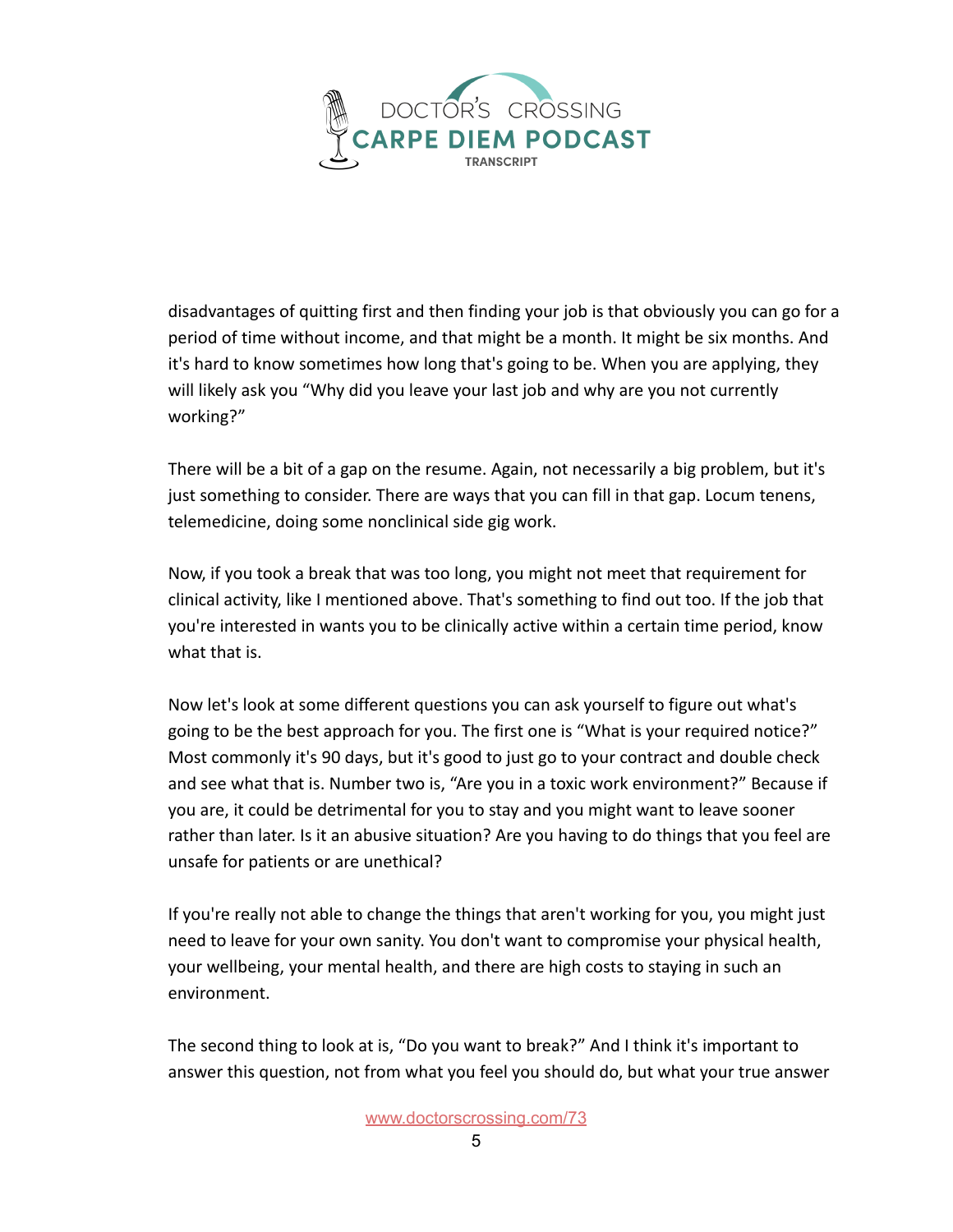

disadvantages of quitting first and then finding your job is that obviously you can go for a period of time without income, and that might be a month. It might be six months. And it's hard to know sometimes how long that's going to be. When you are applying, they will likely ask you "Why did you leave your last job and why are you not currently working?"

There will be a bit of a gap on the resume. Again, not necessarily a big problem, but it's just something to consider. There are ways that you can fill in that gap. Locum tenens, telemedicine, doing some nonclinical side gig work.

Now, if you took a break that was too long, you might not meet that requirement for clinical activity, like I mentioned above. That's something to find out too. If the job that you're interested in wants you to be clinically active within a certain time period, know what that is.

Now let's look at some different questions you can ask yourself to figure out what's going to be the best approach for you. The first one is "What is your required notice?" Most commonly it's 90 days, but it's good to just go to your contract and double check and see what that is. Number two is, "Are you in a toxic work environment?" Because if you are, it could be detrimental for you to stay and you might want to leave sooner rather than later. Is it an abusive situation? Are you having to do things that you feel are unsafe for patients or are unethical?

If you're really not able to change the things that aren't working for you, you might just need to leave for your own sanity. You don't want to compromise your physical health, your wellbeing, your mental health, and there are high costs to staying in such an environment.

The second thing to look at is, "Do you want to break?" And I think it's important to answer this question, not from what you feel you should do, but what your true answer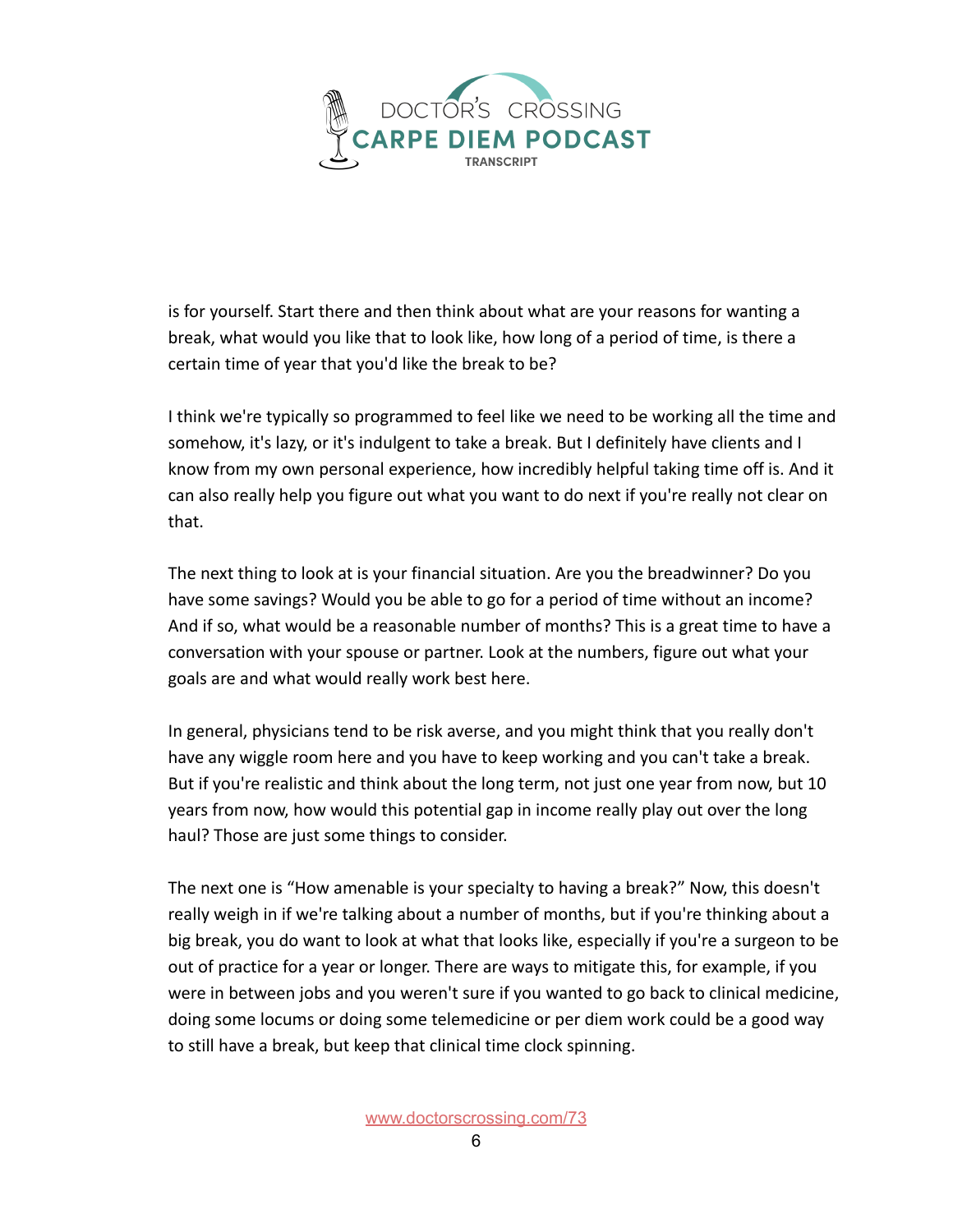

is for yourself. Start there and then think about what are your reasons for wanting a break, what would you like that to look like, how long of a period of time, is there a certain time of year that you'd like the break to be?

I think we're typically so programmed to feel like we need to be working all the time and somehow, it's lazy, or it's indulgent to take a break. But I definitely have clients and I know from my own personal experience, how incredibly helpful taking time off is. And it can also really help you figure out what you want to do next if you're really not clear on that.

The next thing to look at is your financial situation. Are you the breadwinner? Do you have some savings? Would you be able to go for a period of time without an income? And if so, what would be a reasonable number of months? This is a great time to have a conversation with your spouse or partner. Look at the numbers, figure out what your goals are and what would really work best here.

In general, physicians tend to be risk averse, and you might think that you really don't have any wiggle room here and you have to keep working and you can't take a break. But if you're realistic and think about the long term, not just one year from now, but 10 years from now, how would this potential gap in income really play out over the long haul? Those are just some things to consider.

The next one is "How amenable is your specialty to having a break?" Now, this doesn't really weigh in if we're talking about a number of months, but if you're thinking about a big break, you do want to look at what that looks like, especially if you're a surgeon to be out of practice for a year or longer. There are ways to mitigate this, for example, if you were in between jobs and you weren't sure if you wanted to go back to clinical medicine, doing some locums or doing some telemedicine or per diem work could be a good way to still have a break, but keep that clinical time clock spinning.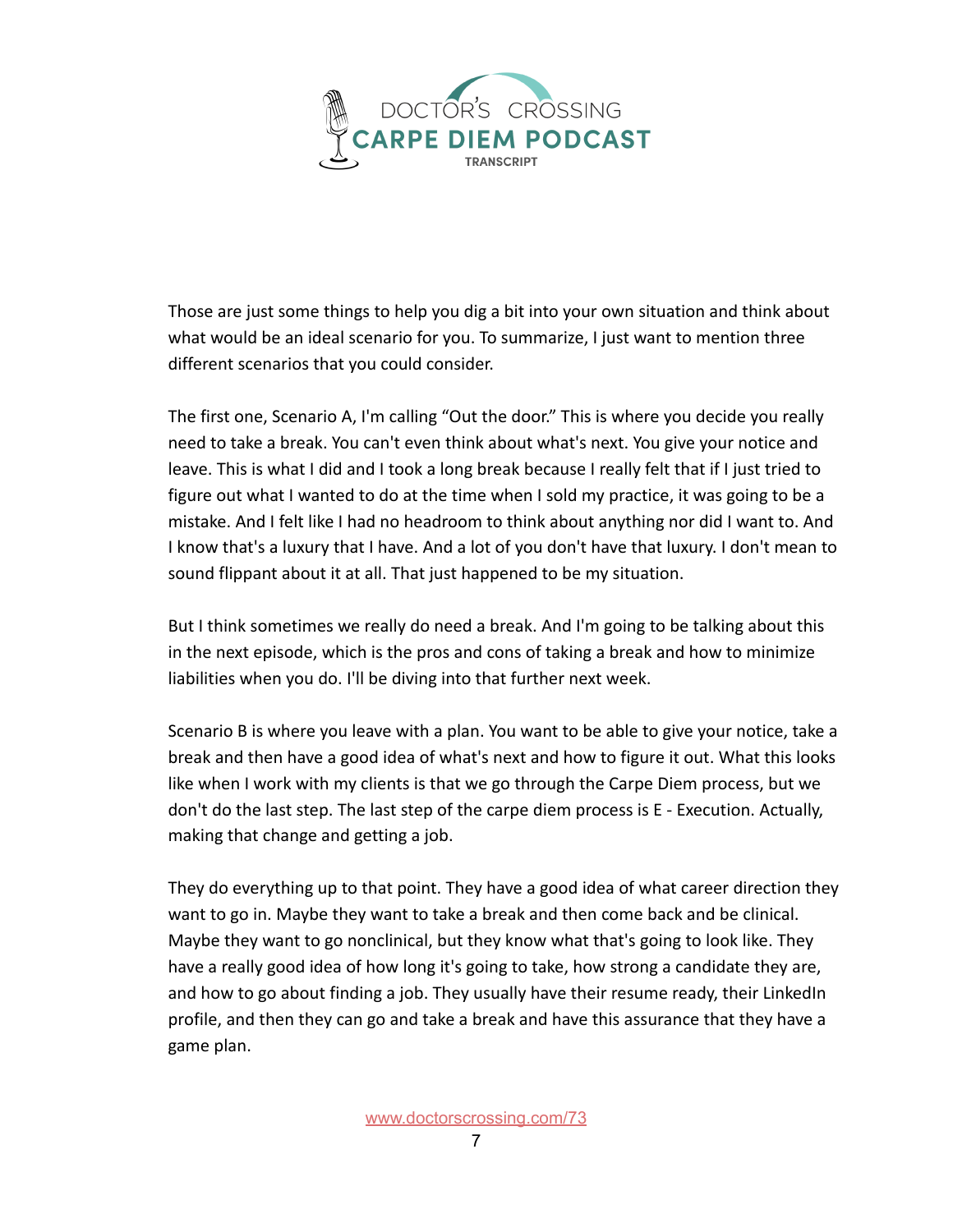

Those are just some things to help you dig a bit into your own situation and think about what would be an ideal scenario for you. To summarize, I just want to mention three different scenarios that you could consider.

The first one, Scenario A, I'm calling "Out the door." This is where you decide you really need to take a break. You can't even think about what's next. You give your notice and leave. This is what I did and I took a long break because I really felt that if I just tried to figure out what I wanted to do at the time when I sold my practice, it was going to be a mistake. And I felt like I had no headroom to think about anything nor did I want to. And I know that's a luxury that I have. And a lot of you don't have that luxury. I don't mean to sound flippant about it at all. That just happened to be my situation.

But I think sometimes we really do need a break. And I'm going to be talking about this in the next episode, which is the pros and cons of taking a break and how to minimize liabilities when you do. I'll be diving into that further next week.

Scenario B is where you leave with a plan. You want to be able to give your notice, take a break and then have a good idea of what's next and how to figure it out. What this looks like when I work with my clients is that we go through the Carpe Diem process, but we don't do the last step. The last step of the carpe diem process is E - Execution. Actually, making that change and getting a job.

They do everything up to that point. They have a good idea of what career direction they want to go in. Maybe they want to take a break and then come back and be clinical. Maybe they want to go nonclinical, but they know what that's going to look like. They have a really good idea of how long it's going to take, how strong a candidate they are, and how to go about finding a job. They usually have their resume ready, their LinkedIn profile, and then they can go and take a break and have this assurance that they have a game plan.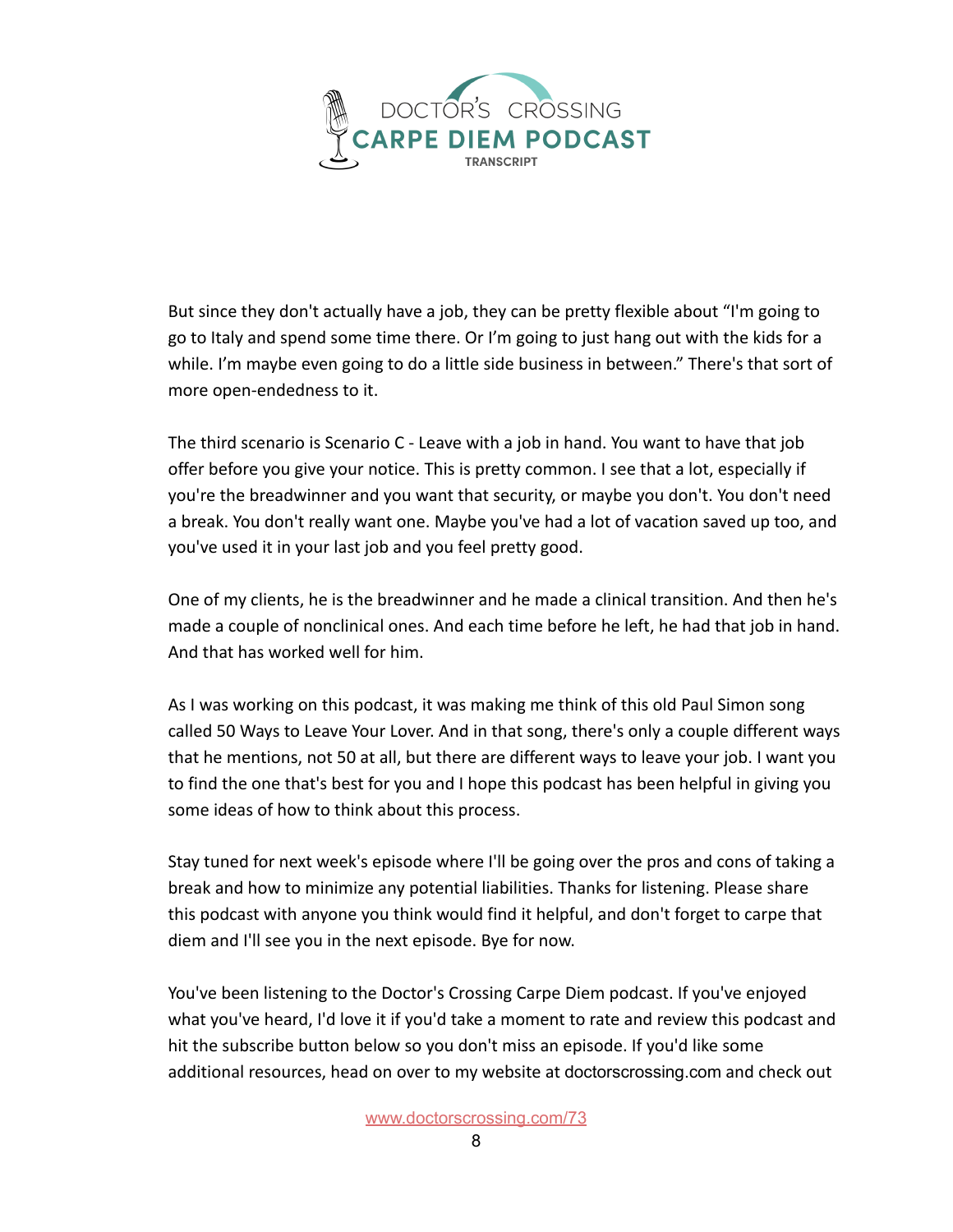

But since they don't actually have a job, they can be pretty flexible about "I'm going to go to Italy and spend some time there. Or I'm going to just hang out with the kids for a while. I'm maybe even going to do a little side business in between." There's that sort of more open-endedness to it.

The third scenario is Scenario C - Leave with a job in hand. You want to have that job offer before you give your notice. This is pretty common. I see that a lot, especially if you're the breadwinner and you want that security, or maybe you don't. You don't need a break. You don't really want one. Maybe you've had a lot of vacation saved up too, and you've used it in your last job and you feel pretty good.

One of my clients, he is the breadwinner and he made a clinical transition. And then he's made a couple of nonclinical ones. And each time before he left, he had that job in hand. And that has worked well for him.

As I was working on this podcast, it was making me think of this old Paul Simon song called 50 Ways to Leave Your Lover. And in that song, there's only a couple different ways that he mentions, not 50 at all, but there are different ways to leave your job. I want you to find the one that's best for you and I hope this podcast has been helpful in giving you some ideas of how to think about this process.

Stay tuned for next week's episode where I'll be going over the pros and cons of taking a break and how to minimize any potential liabilities. Thanks for listening. Please share this podcast with anyone you think would find it helpful, and don't forget to carpe that diem and I'll see you in the next episode. Bye for now.

You've been listening to the Doctor's Crossing Carpe Diem podcast. If you've enjoyed what you've heard, I'd love it if you'd take a moment to rate and review this podcast and hit the subscribe button below so you don't miss an episode. If you'd like some additional resources, head on over to my website at doctorscrossing.com and check out